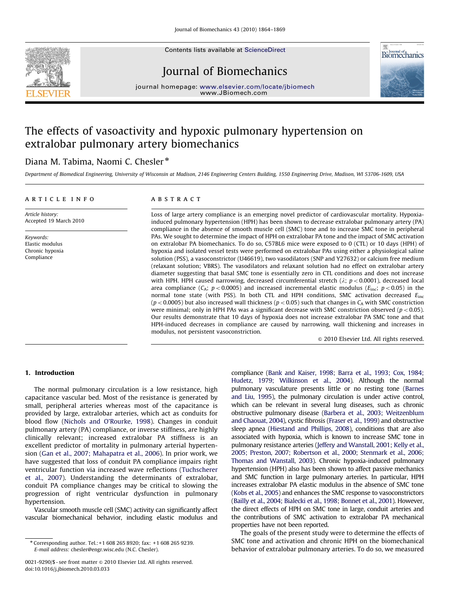Contents lists available at ScienceDirect

# Journal of Biomechanics



journal homepage: <www.elsevier.com/locate/jbiomech> www.JBiomech.com

# The effects of vasoactivity and hypoxic pulmonary hypertension on extralobar pulmonary artery biomechanics

# Diana M. Tabima, Naomi C. Chesler<sup>\*</sup>

Department of Biomedical Engineering, University of Wisconsin at Madison, 2146 Engineering Centers Building, 1550 Engineering Drive, Madison, WI 53706-1609, USA

# article info

# **ABSTRACT**

Article history: Accepted 19 March 2010

Keywords: Elastic modulus Chronic hypoxia Compliance

Loss of large artery compliance is an emerging novel predictor of cardiovascular mortality. Hypoxiainduced pulmonary hypertension (HPH) has been shown to decrease extralobar pulmonary artery (PA) compliance in the absence of smooth muscle cell (SMC) tone and to increase SMC tone in peripheral PAs. We sought to determine the impact of HPH on extralobar PA tone and the impact of SMC activation on extralobar PA biomechanics. To do so, C57BL6 mice were exposed to 0 (CTL) or 10 days (HPH) of hypoxia and isolated vessel tests were performed on extralobar PAs using either a physiological saline solution (PSS), a vasoconstrictor (U46619), two vasodilators (SNP and Y27632) or calcium free medium (relaxant solution; VBRS). The vasodilators and relaxant solution had no effect on extralobar artery diameter suggesting that basal SMC tone is essentially zero in CTL conditions and does not increase with HPH. HPH caused narrowing, decreased circumferential stretch ( $\lambda$ ;  $p < 0.0001$ ), decreased local area compliance ( $C_A$ ;  $p < 0.0005$ ) and increased incremental elastic modulus ( $E_{\text{inc}}$ ;  $p < 0.05$ ) in the normal tone state (with PSS). In both CTL and HPH conditions, SMC activation decreased  $E_{\text{inc}}$  $(p < 0.0005)$  but also increased wall thickness ( $p < 0.05$ ) such that changes in C<sub>A</sub> with SMC constriction were minimal; only in HPH PAs was a significant decrease with SMC constriction observed ( $p < 0.05$ ). Our results demonstrate that 10 days of hypoxia does not increase extralobar PA SMC tone and that HPH-induced decreases in compliance are caused by narrowing, wall thickening and increases in modulus, not persistent vasoconstriction.

 $\odot$  2010 Elsevier Ltd. All rights reserved.

# 1. Introduction

The normal pulmonary circulation is a low resistance, high capacitance vascular bed. Most of the resistance is generated by small, peripheral arteries whereas most of the capacitance is provided by large, extralobar arteries, which act as conduits for blood flow ([Nichols and O'Rourke, 1998](#page-5-0)). Changes in conduit pulmonary artery (PA) compliance, or inverse stiffness, are highly clinically relevant; increased extralobar PA stiffness is an excellent predictor of mortality in pulmonary arterial hypertension [\(Gan et al., 2007; Mahapatra et al., 2006](#page-4-0)). In prior work, we have suggested that loss of conduit PA compliance impairs right ventricular function via increased wave reflections [\(Tuchscherer](#page-5-0) [et al., 2007](#page-5-0)). Understanding the determinants of extralobar, conduit PA compliance changes may be critical to slowing the progression of right ventricular dysfunction in pulmonary hypertension.

Vascular smooth muscle cell (SMC) activity can significantly affect vascular biomechanical behavior, including elastic modulus and compliance ([Bank and Kaiser, 1998; Barra et al., 1993; Cox, 1984;](#page-4-0) [Hudetz, 1979; Wilkinson et al., 2004](#page-4-0)). Although the normal pulmonary vasculature presents little or no resting tone [\(Barnes](#page-4-0) [and Liu, 1995](#page-4-0)), the pulmonary circulation is under active control, which can be relevant in several lung diseases, such as chronic obstructive pulmonary disease [\(Barbera et al., 2003; Weitzenblum](#page-4-0) [and Chaouat, 2004\)](#page-4-0), cystic fibrosis [\(Fraser et al., 1999\)](#page-4-0) and obstructive sleep apnea [\(Hiestand and Phillips, 2008](#page-4-0)), conditions that are also associated with hypoxia, which is known to increase SMC tone in pulmonary resistance arteries ([Jeffery and Wanstall, 2001; Kelly et al.,](#page-4-0) [2005; Preston, 2007; Robertson et al., 2000; Stenmark et al., 2006;](#page-4-0) [Thomas and Wanstall, 2003\)](#page-4-0). Chronic hypoxia-induced pulmonary hypertension (HPH) also has been shown to affect passive mechanics and SMC function in large pulmonary arteries. In particular, HPH increases extralobar PA elastic modulus in the absence of SMC tone ([Kobs et al., 2005\)](#page-5-0) and enhances the SMC response to vasoconstrictors ([Bailly et al., 2004; Bialecki et al., 1998; Bonnet et al., 2001\)](#page-4-0). However, the direct effects of HPH on SMC tone in large, conduit arteries and the contributions of SMC activation to extralobar PA mechanical properties have not been reported.

The goals of the present study were to determine the effects of SMC tone and activation and chronic HPH on the biomechanical behavior of extralobar pulmonary arteries. To do so, we measured

<sup>n</sup> Corresponding author. Tel.:+1 608 265 8920; fax: +1 608 265 9239. E-mail address: [chesler@engr.wisc.edu \(N.C. Chesler\).](mailto:chesler@engr.wisc.edu)

<sup>0021-9290/\$ -</sup> see front matter @ 2010 Elsevier Ltd. All rights reserved. doi:[10.1016/j.jbiomech.2010.03.033](dx.doi.org/10.1016/j.jbiomech.2010.03.033)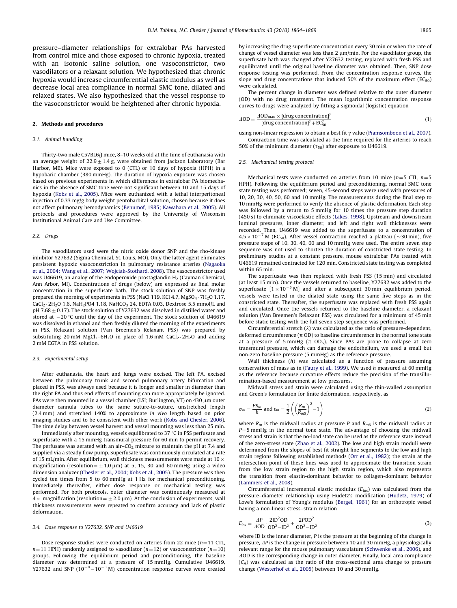pressure–diameter relationships for extralobar PAs harvested from control mice and those exposed to chronic hypoxia, treated with an isotonic saline solution, one vasoconstrictor, two vasodilators or a relaxant solution. We hypothesized that chronic hypoxia would increase circumferential elastic modulus as well as decrease local area compliance in normal SMC tone, dilated and relaxed states. We also hypothesized that the vessel response to the vasoconstrictor would be heightened after chronic hypoxia.

# 2. Methods and procedures

#### 2.1. Animal handling

Thirty-two male C57BL6/J mice, 8–10 weeks old at the time of euthanasia with an average weight of  $22.9\pm1.4$  g, were obtained from Jackson Laboratory (Bar Harbor, ME). Mice were exposed to 0 (CTL) or 10 days of hypoxia (HPH) in a hypobaric chamber (380 mmHg). The duration of hypoxia exposure was chosen based on previous experiments in which differences in extralobar PA biomechanics in the absence of SMC tone were not significant between 10 and 15 days of hypoxia [\(Kobs et al., 2005](#page-5-0)). Mice were euthanized with a lethal interperitoneal injection of 0.33 mg/g body weight pentobarbital solution, chosen because it does not affect pulmonary hemodynamics [\(Benumof, 1985; Kawahara et al., 2005](#page-4-0)). All protocols and procedures were approved by the University of Wisconsin Institutional Animal Care and Use Committee.

#### 2.2. Drugs

The vasodilators used were the nitric oxide donor SNP and the rho-kinase inhibitor Y27632 (Sigma Chemical, St. Louis, MO). Only the latter agent eliminates persistent hypoxic vasoconstriction in pulmonary resistance arteries [\(Nagaoka](#page-5-0) [et al., 2004; Wang et al., 2007; Wojciak-Stothard, 2008](#page-5-0)). The vasoconstrictor used was U46619, an analog of the endoperoxide prostaglandin  $H_2$  (Cayman Chemical, Ann Arbor, MI). Concentrations of drugs (below) are expressed as final molar concentration in the superfusate bath. The stock solution of SNP was freshly prepared the morning of experiments in PSS (NaCl 119, KCl 4.7, MgSO $_4$   $\cdot$  7H $_2$ O 1.17, CaCl $_2$   $\cdot$  2H $_2$ O 1.6, NaH $_2$ PO4 1.18, NaHCO $_3$  24, EDTA 0.03, Dextrose 5.5 mmol/L and pH 7.68  $+$  0.17). The stock solution of Y27632 was dissolved in distilled water and stored at  $-20$  °C until the day of the experiment. The stock solution of U46619 was dissolved in ethanol and then freshly diluted the morning of the experiments in PSS. Relaxant solution (Van Breemen's Relaxant PSS) was prepared by substituting 20 mM  $MgCl_2 \cdot 6H_2O$  in place of 1.6 mM  $CaCl_2 \cdot 2H_2O$  and adding 2 mM EGTA in PSS solution.

#### 2.3. Experimental setup

After euthanasia, the heart and lungs were excised. The left PA, excised between the pulmonary trunk and second pulmonary artery bifurcation and placed in PSS, was always used because it is longer and smaller in diameter than the right PA and thus end effects of mounting can more appropriately be ignored. PAs were then mounted in a vessel chamber (LSI; Burlington, VT) on 430 µm outer diameter cannula tubes to the same suture-to-suture, unstretched length (2.4 mm) and stretched 140% to approximate in vivo length based on prior imaging studies and to be consistent with other work [\(Kobs and Chesler, 2006\)](#page-5-0). The time delay between vessel harvest and vessel mounting was less than 25 min.

Immediately after mounting, vessels equilibrated to 37 °C in PSS perfusate and superfusate with a 15 mmHg transmural pressure for 60 min to permit recovery. The perfusate was aerated with an air– $CO<sub>2</sub>$  mixture to maintain the pH at 7.4 and supplied via a steady flow pump. Superfusate was continuously circulated at a rate of 15 mL/min. After equilibrium, wall thickness measurements were made at 10  $\times$ magnification (resolution =  $\pm$  1.0  $\mu$ m) at 5, 15, 30 and 60 mmHg using a video dimension analyzer ([Chesler et al., 2004; Kobs et al., 2005\)](#page-4-0). The pressure was then cycled ten times from 5 to 60 mmHg at 1 Hz for mechanical preconditioning. Immediately thereafter, either dose response or mechanical testing was performed. For both protocols, outer diameter was continuously measured at  $4 \times$  magnification (resolution =  $\pm$  2.0 µm). At the conclusion of experiments, wall thickness measurements were repeated to confirm accuracy and lack of plastic deformation.

#### 2.4. Dose response to Y27632, SNP and U46619

Dose response studies were conducted on arteries from 22 mice  $(n=11$  CTL,  $n=11$  HPH) randomly assigned to vasodilator (n=12) or vasoconstrictor (n=10) groups. Following the equilibrium period and preconditioning, the baseline diameter was determined at a pressure of 15 mmHg. Cumulative U46619, Y27632 and SNP  $(10^{-8}-10^{-3}$  M) concentration response curves were created

by increasing the drug superfusate concentration every 30 min or when the rate of change of vessel diameter was less than  $2 \mu m/min$ . For the vasodilator group, the superfusate bath was changed after Y27632 testing, replaced with fresh PSS and equilibrated until the original baseline diameter was obtained. Then, SNP dose response testing was performed. From the concentration response curves, the slope and drug concentrations that induced 50% of the maximum effect ( $EC_{50}$ ) were calculated.

The percent change in diameter was defined relative to the outer diameter (OD) with no drug treatment. The mean logarithmic concentration response curves to drugs were analyzed by fitting a sigmoidal (logistic) equation

$$
\Delta OD = \frac{\Delta OD_{\text{max}} \times [\text{drug concentration}]^{\gamma}}{[\text{drug concentration}]^{\gamma} + \text{EC}_{50}^{\gamma}}
$$
(1)

using non-linear regression to obtain a best fit  $\gamma$  value [\(Piamsomboon et al., 2007\)](#page-5-0). Contraction time was calculated as the time required for the arteries to reach 50% of the minimum diameter ( $\tau_{50}$ ) after exposure to U46619.

#### 2.5. Mechanical testing protocol

Mechanical tests were conducted on arteries from 10 mice ( $n=5$  CTL,  $n=5$ HPH). Following the equilibrium period and preconditioning, normal SMC tone state testing was performed; seven, 45-second steps were used with pressures of 10, 20, 30, 40, 50, 60 and 10 mmHg. The measurements during the final step to 10 mmHg were performed to verify the absence of plastic deformation. Each step was followed by a return to 5 mmHg for 10 times the pressure step duration (450 s) to eliminate viscoelastic effects [\(Lakes, 1998](#page-5-0)). Upstream and downstream luminal pressures, inner diameter, and left and right wall thicknesses were recorded. Then, U46619 was added to the superfusate to a concentration of  $4.5 \times 10^{-7}$  M (EC<sub>50</sub>). After vessel contraction reached a plateau (~30 min), five pressure steps of 10, 30, 40, 60 and 10 mmHg were used. The entire seven step sequence was not used to shorten the duration of constricted state testing. In preliminary studies at a constant pressure, mouse extralobar PAs treated with U46619 remained contracted for 120 min. Constricted state testing was completed within 65 min.

The superfusate was then replaced with fresh PSS (15 min) and circulated (at least 15 min). Once the vessels returned to baseline, Y27632 was added to the superfusate  $[1 \times 10^{-5}$  M] and after a subsequent 30 min equilibrium period, vessels were tested in the dilated state using the same five steps as in the constricted state. Thereafter, the superfusate was replaced with fresh PSS again and circulated. Once the vessels returned to the baseline diameter, a relaxant solution (Van Breemen's Relaxant PSS) was circulated for a minimum of 45 min before static testing with the full seven step sequence was performed.

Circumferential stretch  $(\lambda)$  was calculated as the ratio of pressure-dependent, deformed circumference ( $\pi$  OD) to baseline circumference in the normal tone state at a pressure of 5 mmHg ( $\pi$  OD<sub>5</sub>). Since PAs are prone to collapse at zero transmural pressure, which can damage the endothelium, we used a small but non-zero baseline pressure (5 mmHg) as the reference pressure.

Wall thickness (h) was calculated as a function of pressure assuming conservation of mass as in ([Faury et al., 1999](#page-4-0)). We used h measured at 60 mmHg as the reference because curvature effects reduce the precision of the transillumination-based measurement at low pressures.

Midwall stress and strain were calculated using the thin-walled assumption and Green's formulation for finite deformation, respectively, as

$$
\sigma_m = \frac{PR_m}{h} \text{ and } \varepsilon_m = \frac{1}{2} \left( \left( \frac{R_m}{R_{m5}} \right)^2 - 1 \right) \tag{2}
$$

where  $R_m$  is the midwall radius at pressure P and  $R_{m5}$  is the midwall radius at  $P=5$  mmHg in the normal tone state. The advantage of choosing the midwall stress and strain is that the no-load state can be used as the reference state instead of the zero-stress state ([Zhao et al., 2002\)](#page-5-0). The low and high strain moduli were determined from the slopes of best fit straight line segments to the low and high strain regions following established methods ([Orr et al., 1982](#page-5-0)); the strain at the intersection point of these lines was used to approximate the transition strain from the low strain region to the high strain region, which also represents the transition from elastin-dominant behavior to collagen-dominant behavior [\(Lammers et al., 2008\)](#page-5-0).

Circumferential incremental elastic modulus  $(E_{inc})$  was calculated from the pressure–diameter relationship using Hudetz's modification [\(Hudetz, 1979\)](#page-4-0) of Love's formulation of Young's modulus [\(Bergel, 1961](#page-4-0)) for an orthotropic vessel having a non-linear stress–strain relation

$$
E_{inc} = \frac{\Delta P}{\Delta OD} \cdot \frac{2ID^2 OD}{OD^2 - ID^2} + \frac{2POD^2}{OD^2 - ID^2}
$$
 (3)

where ID is the inner diameter, P is the pressure at the beginning of the change in pressure,  $\Delta P$  is the change in pressure between 10 and 30 mmHg, a physiologically relevant range for the mouse pulmonary vasculature [\(Schwenke et al., 2006](#page-5-0)), and  $AOD$  is the corresponding change in outer diameter. Finally, local area compliance  $(C_A)$  was calculated as the ratio of the cross-sectional area change to pressure change ([Westerhof et al., 2005](#page-5-0)) between 10 and 30 mmHg.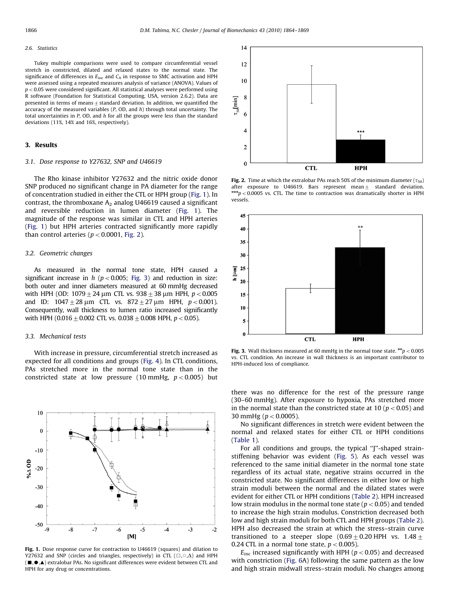#### <span id="page-2-0"></span>2.6. Statistics

Tukey multiple comparisons were used to compare circumferential vessel stretch in constricted, dilated and relaxed states to the normal state. The significance of differences in  $E_{inc}$  and  $C_A$  in response to SMC activation and HPH were assessed using a repeated measures analysis of variance (ANOVA). Values of  $p < 0.05$  were considered significant. All statistical analyses were performed using R software (Foundation for Statistical Computing, USA, version 2.6.2). Data are presented in terms of means  $\pm$  standard deviation. In addition, we quantified the accuracy of the measured variables  $(P, OD, and h)$  through total uncertainty. The total uncertainties in P, OD, and h for all the groups were less than the standard deviations (11%, 14% and 16%, respectively).

# 3. Results

#### 3.1. Dose response to Y27632, SNP and U46619

The Rho kinase inhibitor Y27632 and the nitric oxide donor SNP produced no significant change in PA diameter for the range of concentration studied in either the CTL or HPH group (Fig. 1). In contrast, the thromboxane  $A_2$  analog U46619 caused a significant and reversible reduction in lumen diameter (Fig. 1). The magnitude of the response was similar in CTL and HPH arteries (Fig. 1) but HPH arteries contracted significantly more rapidly than control arteries ( $p < 0.0001$ , Fig. 2).

# 3.2. Geometric changes

As measured in the normal tone state, HPH caused a significant increase in  $h$  ( $p < 0.005$ ; Fig. 3) and reduction in size: both outer and inner diameters measured at 60 mmHg decreased with HPH (OD: 1079  $\pm$  24 µm CTL vs. 938  $\pm$  38 µm HPH, p < 0.005 and ID:  $1047 \pm 28 \,\mu m$  CTL vs.  $872 \pm 27 \,\mu m$  HPH,  $p < 0.001$ ). Consequently, wall thickness to lumen ratio increased significantly with HPH (0.016  $\pm$  0.002 CTL vs. 0.038  $\pm$  0.008 HPH, p < 0.05).

### 3.3. Mechanical tests

With increase in pressure, circumferential stretch increased as expected for all conditions and groups ([Fig. 4](#page-3-0)). In CTL conditions, PAs stretched more in the normal tone state than in the constricted state at low pressure (10 mmHg,  $p < 0.005$ ) but



Fig. 1. Dose response curve for contraction to U46619 (squares) and dilation to Y27632 and SNP (circles and triangles, respectively) in CTL ( $\Box$ , $\Diamond$ , $\Delta$ ) and HPH  $(\blacksquare,\spadesuit,\spadesuit)$  extralobar PAs. No significant differences were evident between CTL and HPH for any drug or concentrations.



**Fig. 2.** Time at which the extralobar PAs reach 50% of the minimum diameter ( $\tau_{50}$ ) after exposure to U46619. Bars represent mean  $\pm$  standard deviation.  $A_{p}$  = 0.0005 vs. CTL. The time to contraction was dramatically shorter in HPH vessels.



Fig. 3. Wall thickness measured at 60 mmHg in the normal tone state.  $**p<0.005$ vs. CTL condition. An increase in wall thickness is an important contributor to HPH-induced loss of compliance.

there was no difference for the rest of the pressure range (30–60 mmHg). After exposure to hypoxia, PAs stretched more in the normal state than the constricted state at 10 ( $p < 0.05$ ) and 30 mmHg ( $p < 0.0005$ ).

No significant differences in stretch were evident between the normal and relaxed states for either CTL or HPH conditions ([Table 1](#page-3-0)).

For all conditions and groups, the typical "J"-shaped strainstiffening behavior was evident ([Fig. 5](#page-3-0)). As each vessel was referenced to the same initial diameter in the normal tone state regardless of its actual state, negative strains occurred in the constricted state. No significant differences in either low or high strain moduli between the normal and the dilated states were evident for either CTL or HPH conditions ([Table 2\)](#page-3-0). HPH increased low strain modulus in the normal tone state ( $p < 0.05$ ) and tended to increase the high strain modulus. Constriction decreased both low and high strain moduli for both CTL and HPH groups [\(Table 2\)](#page-3-0). HPH also decreased the strain at which the stress–strain curve transitioned to a steeper slope  $(0.69+0.20$  HPH vs.  $1.48+$ 0.24 CTL in a normal tone state,  $p < 0.005$ ).

 $E_{\text{inc}}$  increased significantly with HPH ( $p < 0.05$ ) and decreased with constriction [\(Fig. 6](#page-3-0)A) following the same pattern as the low and high strain midwall stress–strain moduli. No changes among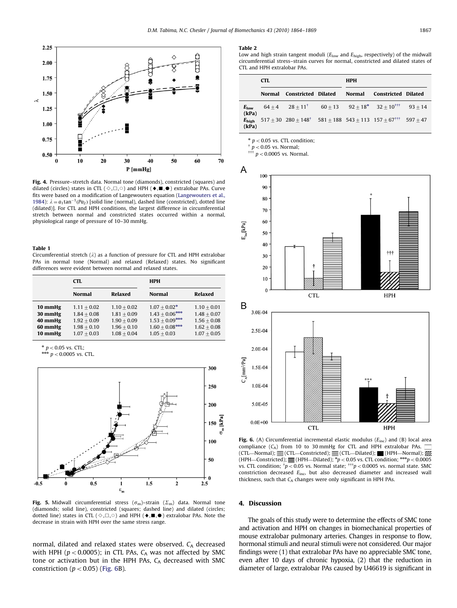<span id="page-3-0"></span>

Fig. 4. Pressure–stretch data. Normal tone (diamonds), constricted (squares) and dilated (circles) states in CTL ( $\Diamond$ , $\Box$ , $\Diamond$ ) and HPH ( $\blacklozenge$ , $\blacksquare$ , $\spadesuit$ ) extralobar PAs. Curve fits were based on a modification of Langewouters equation [\(Langewouters et al.,](#page-5-0) [1984](#page-5-0)):  $\lambda = a_1 \tan^{-1}(Pa_2)$  [solid line (normal), dashed line (constricted), dotted line (dilated)]. For CTL and HPH conditions, the largest difference in circumferential stretch between normal and constricted states occurred within a normal, physiological range of pressure of 10–30 mmHg.

#### Table 1

Circumferential stretch  $(\lambda)$  as a function of pressure for CTL and HPH extralobar PAs in normal tone (Normal) and relaxed (Relaxed) states. No significant differences were evident between normal and relaxed states.

|                                                     | <b>CTL</b>                                                                        |                                                                                   | <b>HPH</b>                                                                                   |                                                                                   |  |
|-----------------------------------------------------|-----------------------------------------------------------------------------------|-----------------------------------------------------------------------------------|----------------------------------------------------------------------------------------------|-----------------------------------------------------------------------------------|--|
|                                                     | <b>Normal</b>                                                                     | <b>Relaxed</b>                                                                    | <b>Normal</b>                                                                                | Relaxed                                                                           |  |
| 10 mmHg<br>30 mmHg<br>40 mmHg<br>60 mmHg<br>10 mmHg | $1.11 + 0.02$<br>$1.84 + 0.08$<br>$1.92 + 0.09$<br>$1.98 + 0.10$<br>$1.07 + 0.03$ | $1.10 + 0.02$<br>$1.81 + 0.09$<br>$1.90 + 0.09$<br>$1.96 + 0.10$<br>$1.08 + 0.04$ | $1.07 + 0.02*$<br>$1.43 + 0.06***$<br>$1.53 + 0.09***$<br>$1.60 + 0.08$ ***<br>$1.05 + 0.03$ | $1.10 + 0.01$<br>$1.48 + 0.07$<br>$1.56 + 0.08$<br>$1.62 + 0.08$<br>$1.07 + 0.05$ |  |

\*  $p < 0.05$  vs. CTL;<br>\*\*\*  $p < 0.0005$  vs. CTL.



Fig. 5. Midwall circumferential stress  $(\sigma_m)$ –strain  $(\Sigma_m)$  data. Normal tone (diamonds; solid line), constricted (squares; dashed line) and dilated (circles; dotted line) states in CTL ( $\Diamond$ , $\Box$ , $\Diamond$ ) and HPH ( $\blacklozenge$ ,  $\blacksquare$ , $\blacklozenge$ ) extralobar PAs. Note the decrease in strain with HPH over the same stress range.

normal, dilated and relaxed states were observed.  $C_A$  decreased with HPH ( $p < 0.0005$ ); in CTL PAs,  $C_A$  was not affected by SMC tone or activation but in the HPH PAs,  $C_A$  decreased with SMC constriction ( $p < 0.05$ ) (Fig. 6B).

#### Table 2

Low and high strain tangent moduli ( $E_{low}$  and  $E_{high}$ , respectively) of the midwall circumferential stress–strain curves for normal, constricted and dilated states of CTL and HPH extralobar PAs.

|                           | <b>CTL</b> |                                                                                                  |  | <b>HPH</b> |                            |  |
|---------------------------|------------|--------------------------------------------------------------------------------------------------|--|------------|----------------------------|--|
|                           |            | Normal Constricted Dilated                                                                       |  |            | Normal Constricted Dilated |  |
| $E_{\text{low}}$<br>(kPa) |            | $64+4$ $28+11$ <sup>†</sup> $60+13$ $92+18$ <sup>*</sup> $32+10$ <sup>†††</sup> $93+14$          |  |            |                            |  |
| $E_{\rm high}$<br>(kPa)   |            | $517 + 30$ $280 + 148$ <sup>†</sup> $581 + 188$ $543 + 113$ $157 + 67$ <sup>†††</sup> $597 + 47$ |  |            |                            |  |

 $*$   $p$  < 0.05 vs. CTL condition;

 $\uparrow p < 0.05$  vs. Normal;

 $p < 0.0005$  vs. Normal.



Fig. 6. (A) Circumferential incremental elastic modulus ( $E_{\text{inc}}$ ) and (B) local area compliance  $(C_A)$  from 10 to 30 mmHg for CTL and HPH extralobar PAs. (CTL—Normal);  $\mathcal{U}(CTL$ —Constricted);  $\mathcal{V}=(CTL$ —Dilated);  $\mathcal{V}=(HPH$ —Normal);  $\mathcal{V}$ (HPH—Constricted);  $\equiv$  (HPH—Dilated); \*p < 0.05 vs. CTL condition; \*\*\*p < 0.0005 vs. CTL condition;  $\phi$  = 0.05 vs. Normal state;  $\phi$  = 0.0005 vs. normal state. SMC constriction decreased  $E_{\text{inc}}$ , but also decreased diameter and increased wall thickness, such that  $C_A$  changes were only significant in HPH PAs.

#### 4. Discussion

The goals of this study were to determine the effects of SMC tone and activation and HPH on changes in biomechanical properties of mouse extralobar pulmonary arteries. Changes in response to flow, hormonal stimuli and neural stimuli were not considered. Our major findings were (1) that extralobar PAs have no appreciable SMC tone, even after 10 days of chronic hypoxia, (2) that the reduction in diameter of large, extralobar PAs caused by U46619 is significant in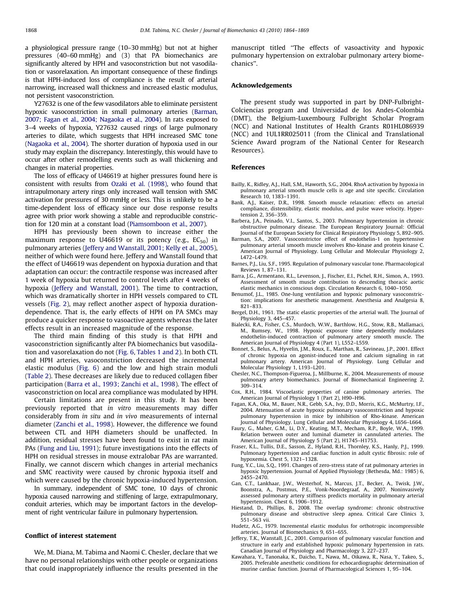<span id="page-4-0"></span>a physiological pressure range (10–30 mmHg) but not at higher pressures (40–60 mmHg) and (3) that PA biomechanics are significantly altered by HPH and vasoconstriction but not vasodilation or vasorelaxation. An important consequence of these findings is that HPH-induced loss of compliance is the result of arterial narrowing, increased wall thickness and increased elastic modulus, not persistent vasoconstriction.

Y27632 is one of the few vasodilators able to eliminate persistent hypoxic vasoconstriction in small pulmonary arteries (Barman, 2007; Fagan et al., 2004; Nagaoka et al., 2004). In rats exposed to 3–4 weeks of hypoxia, Y27632 caused rings of large pulmonary arteries to dilate, which suggests that HPH increased SMC tone ([Nagaoka et al., 2004](#page-5-0)). The shorter duration of hypoxia used in our study may explain the discrepancy. Interestingly, this would have to occur after other remodelling events such as wall thickening and changes in material properties.

The loss of efficacy of U46619 at higher pressures found here is consistent with results from [Ozaki et al. \(1998\)](#page-5-0), who found that intrapulmonary artery rings only increased wall tension with SMC activation for pressures of 30 mmHg or less. This is unlikely to be a time-dependent loss of efficacy since our dose response results agree with prior work showing a stable and reproducible constriction for 120 min at a constant load [\(Piamsomboon et al., 2007](#page-5-0)).

HPH has previously been shown to increase either the maximum response to U46619 or its potency (e.g.,  $EC_{50}$ ) in pulmonary arteries (Jeffery and Wanstall, 2001; Kelly et al., 2005), neither of which were found here. Jeffery and Wanstall found that the effect of U46619 was dependent on hypoxia duration and that adaptation can occur: the contractile response was increased after 1 week of hypoxia but returned to control levels after 4 weeks of hypoxia (Jeffery and Wanstall, 2001). The time to contraction, which was dramatically shorter in HPH vessels compared to CTL vessels ([Fig. 2](#page-2-0)), may reflect another aspect of hypoxia durationdependence. That is, the early effects of HPH on PA SMCs may produce a quicker response to vasoactive agents whereas the later effects result in an increased magnitude of the response.

The third main finding of this study is that HPH and vasoconstriction significantly alter PA biomechanics but vasodilation and vasorelaxation do not [\(Fig. 6,](#page-3-0) [Tables 1 and 2](#page-3-0)). In both CTL and HPH arteries, vasoconstriction decreased the incremental elastic modulus [\(Fig. 6](#page-3-0)) and the low and high strain moduli ([Table 2\)](#page-3-0). These decreases are likely due to reduced collagen fiber participation (Barra et al., 1993; Zanchi et al., 1998). The effect of vasoconstriction on local area compliance was modulated by HPH.

Certain limitations are present in this study. It has been previously reported that in vitro measurements may differ considerably from in situ and in vivo measurements of internal diameter [\(Zanchi et al., 1998](#page-5-0)). However, the difference we found between CTL and HPH diameters should be unaffected. In addition, residual stresses have been found to exist in rat main PAs (Fung and Liu, 1991); future investigations into the effects of HPH on residual stresses in mouse extralobar PAs are warranted. Finally, we cannot discern which changes in arterial mechanics and SMC reactivity were caused by chronic hypoxia itself and which were caused by the chronic hypoxia-induced hypertension.

In summary, independent of SMC tone, 10 days of chronic hypoxia caused narrowing and stiffening of large, extrapulmonary, conduit arteries, which may be important factors in the development of right ventricular failure in pulmonary hypertension.

### Conflict of interest statement

We, M. Diana, M. Tabima and Naomi C. Chesler, declare that we have no personal relationships with other people or organizations that could inappropriately influence the results presented in the manuscript titled ''The effects of vasoactivity and hypoxic pulmonary hypertension on extralobar pulmonary artery biomechanics''.

# Acknowledgements

The present study was supported in part by DNP-Fulbright-Colciencias program and Universidad de los Andes-Colombia (DMT), the Belgium-Luxembourg Fulbright Scholar Program (NCC) and National Institutes of Health Grants R01HL086939 (NCC) and 1UL1RR025011 (from the Clinical and Translational Science Award program of the National Center for Research Resources).

# References

- Bailly, K., Ridley, A.J., Hall, S.M., Haworth, S.G., 2004. RhoA activation by hypoxia in pulmonary arterial smooth muscle cells is age and site specific. Circulation Research 10, 1383–1391.
- Bank, A.J., Kaiser, D.R., 1998. Smooth muscle relaxation: effects on arterial compliance, distensibility, elastic modulus, and pulse wave velocity. Hypertension 2, 356–359.
- Barbera, J.A., Peinado, V.I., Santos, S., 2003. Pulmonary hypertension in chronic obstructive pulmonary disease. The European Respiratory Journal: Official Journal of the European Society for Clinical Respiratory Physiology 5, 892–905.
- Barman, S.A., 2007. Vasoconstrictor effect of endothelin-1 on hypertensive pulmonary arterial smooth muscle involves Rho-kinase and protein kinase C. American Journal of Physiology. Lung Cellular and Molecular Physiology 2,  $I472 - I479$
- Barnes, P.J., Liu, S.F., 1995. Regulation of pulmonary vascular tone. Pharmacological Reviews 1, 87–131.
- Barra, J.G., Armentano, R.L., Levenson, J., Fischer, E.I., Pichel, R.H., Simon, A., 1993. Assessment of smooth muscle contribution to descending thoracic aortic elastic mechanics in conscious dogs. Circulation Research 6, 1040–1050.
- Benumof, J.L., 1985. One-lung ventilation and hypoxic pulmonary vasoconstriction: implications for anesthetic management. Anesthesia and Analgesia 8, 821–833.
- Bergel, D.H., 1961. The static elastic properties of the arterial wall. The Journal of Physiology 3, 445–457.
- Bialecki, R.A., Fisher, C.S., Murdoch, W.W., Barthlow, H.G., Stow, R.B., Mallamaci, M., Rumsey, W., 1998. Hypoxic exposure time dependently modulates endothelin-induced contraction of pulmonary artery smooth muscle. The American Journal of Physiology 4 (Part 1), L552–L559.
- Bonnet, S., Belus, A., Hyvelin, J.M., Roux, E., Marthan, R., Savineau, J.P., 2001. Effect of chronic hypoxia on agonist-induced tone and calcium signaling in rat pulmonary artery. American Journal of Physiology. Lung Cellular and Molecular Physiology 1, L193–L201.
- Chesler, N.C., Thompson-Figueroa, J., Millburne, K., 2004. Measurements of mouse pulmonary artery biomechanics. Journal of Biomechanical Engineering 2, 309–314.
- Cox, R.H., 1984. Viscoelastic properties of canine pulmonary arteries. The American Journal of Physiology 1 (Part 2), H90–H96.
- Fagan, K.A., Oka, M., Bauer, N.R., Gebb, S.A., Ivy, D.D., Morris, K.G., McMurtry, I.F., 2004. Attenuation of acute hypoxic pulmonary vasoconstriction and hypoxic pulmonary hypertension in mice by inhibition of Rho-kinase. American Journal of Physiology. Lung Cellular and Molecular Physiology 4, L656–L664.
- Faury, G., Maher, G.M., Li, D.Y., Keating, M.T., Mecham, R.P., Boyle, W.A., 1999. Relation between outer and luminal diameter in cannulated arteries. The American Journal of Physiology 5 (Part 2), H1745–H1753.
- Fraser, K.L., Tullis, D.E., Sasson, Z., Hyland, R.H., Thornley, K.S., Hanly, P.J., 1999. Pulmonary hypertension and cardiac function in adult cystic fibrosis: role of hypoxemia. Chest 5, 1321–1328.
- Fung, Y.C., Liu, S.Q., 1991. Changes of zero-stress state of rat pulmonary arteries in hypoxic hypertension. Journal of Applied Physiology (Bethesda, Md.: 1985) 6, 2455–2470.
- Gan, C.T., Lankhaar, J.W., Westerhof, N., Marcus, J.T., Becker, A., Twisk, J.W., Boonstra, A., Postmus, P.E., Vonk-Noordegraaf, A., 2007. Noninvasively assessed pulmonary artery stiffness predicts mortality in pulmonary arterial hypertension. Chest 6, 1906–1912.
- Hiestand, D., Phillips, B., 2008. The overlap syndrome: chronic obstructive pulmonary disease and obstructive sleep apnea. Critical Care Clinics 3, 551–563 vii.
- Hudetz, A.G., 1979. Incremental elastic modulus for orthotropic incompressible arteries. Journal of Biomechanics 9, 651–655.
- Jeffery, T.K., Wanstall, J.C., 2001. Comparison of pulmonary vascular function and structure in early and established hypoxic pulmonary hypertension in rats. Canadian Journal of Physiology and Pharmacology 3, 227–237.
- Kawahara, Y., Tanonaka, K., Daicho, T., Nawa, M., Oikawa, R., Nasa, Y., Takeo, S., 2005. Preferable anesthetic conditions for echocardiographic determination of murine cardiac function. Journal of Pharmacological Sciences 1, 95–104.